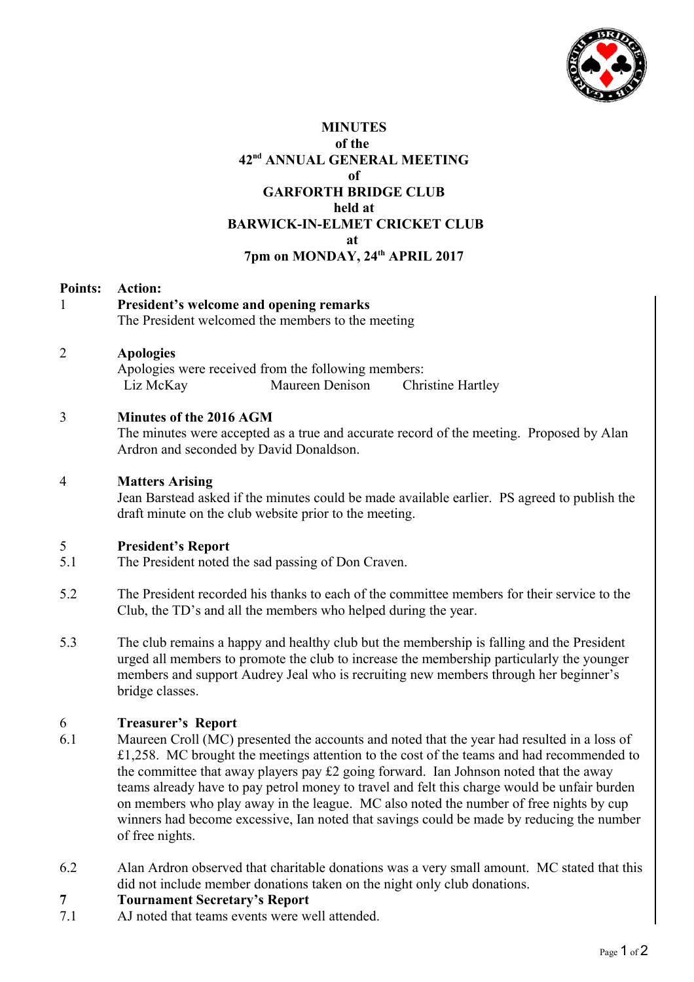

## **MINUTES of the 42nd ANNUAL GENERAL MEETING of GARFORTH BRIDGE CLUB held at BARWICK-IN-ELMET CRICKET CLUB at 7pm on MONDAY, 24th APRIL 2017**

#### **Points: Action:**

1 **President's welcome and opening remarks**  The President welcomed the members to the meeting

### 2 **Apologies**

Apologies were received from the following members: Liz McKay Maureen Denison Christine Hartley

# 3 **Minutes of the 2016 AGM**

The minutes were accepted as a true and accurate record of the meeting. Proposed by Alan Ardron and seconded by David Donaldson.

## 4 **Matters Arising**

Jean Barstead asked if the minutes could be made available earlier. PS agreed to publish the draft minute on the club website prior to the meeting.

# 5 **President's Report**

- 5.1 The President noted the sad passing of Don Craven.
- 5.2 The President recorded his thanks to each of the committee members for their service to the Club, the TD's and all the members who helped during the year.
- 5.3 The club remains a happy and healthy club but the membership is falling and the President urged all members to promote the club to increase the membership particularly the younger members and support Audrey Jeal who is recruiting new members through her beginner's bridge classes.

# 6 **Treasurer's Report**

- 6.1 Maureen Croll (MC) presented the accounts and noted that the year had resulted in a loss of £1,258. MC brought the meetings attention to the cost of the teams and had recommended to the committee that away players pay £2 going forward. Ian Johnson noted that the away teams already have to pay petrol money to travel and felt this charge would be unfair burden on members who play away in the league. MC also noted the number of free nights by cup winners had become excessive, Ian noted that savings could be made by reducing the number of free nights.
- 6.2 Alan Ardron observed that charitable donations was a very small amount. MC stated that this did not include member donations taken on the night only club donations.

# **7 Tournament Secretary's Report**

7.1 AJ noted that teams events were well attended.